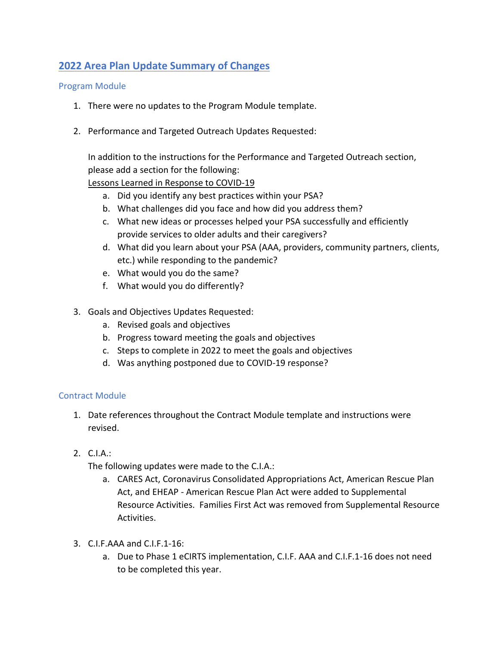## **2022 Area Plan Update Summary of Changes**

## Program Module

- 1. There were no updates to the Program Module template.
- 2. Performance and Targeted Outreach Updates Requested:

In addition to the instructions for the Performance and Targeted Outreach section, please add a section for the following:

Lessons Learned in Response to COVID-19

- a. Did you identify any best practices within your PSA?
- b. What challenges did you face and how did you address them?
- c. What new ideas or processes helped your PSA successfully and efficiently provide services to older adults and their caregivers?
- d. What did you learn about your PSA (AAA, providers, community partners, clients, etc.) while responding to the pandemic?
- e. What would you do the same?
- f. What would you do differently?
- 3. Goals and Objectives Updates Requested:
	- a. Revised goals and objectives
	- b. Progress toward meeting the goals and objectives
	- c. Steps to complete in 2022 to meet the goals and objectives
	- d. Was anything postponed due to COVID-19 response?

## Contract Module

- 1. Date references throughout the Contract Module template and instructions were revised.
- 2. C.I.A.:

The following updates were made to the C.I.A.:

- a. CARES Act, Coronavirus Consolidated Appropriations Act, American Rescue Plan Act, and EHEAP - American Rescue Plan Act were added to Supplemental Resource Activities. Families First Act was removed from Supplemental Resource Activities.
- 3. C.I.F.AAA and C.I.F.1-16:
	- a. Due to Phase 1 eCIRTS implementation, C.I.F. AAA and C.I.F.1-16 does not need to be completed this year.